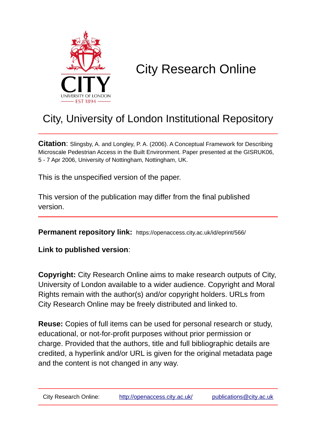

# City Research Online

## City, University of London Institutional Repository

**Citation**: Slingsby, A. and Longley, P. A. (2006). A Conceptual Framework for Describing Microscale Pedestrian Access in the Built Environment. Paper presented at the GISRUK06, 5 - 7 Apr 2006, University of Nottingham, Nottingham, UK.

This is the unspecified version of the paper.

This version of the publication may differ from the final published version.

**Permanent repository link:** https://openaccess.city.ac.uk/id/eprint/566/

**Link to published version**:

**Copyright:** City Research Online aims to make research outputs of City, University of London available to a wider audience. Copyright and Moral Rights remain with the author(s) and/or copyright holders. URLs from City Research Online may be freely distributed and linked to.

**Reuse:** Copies of full items can be used for personal research or study, educational, or not-for-profit purposes without prior permission or charge. Provided that the authors, title and full bibliographic details are credited, a hyperlink and/or URL is given for the original metadata page and the content is not changed in any way.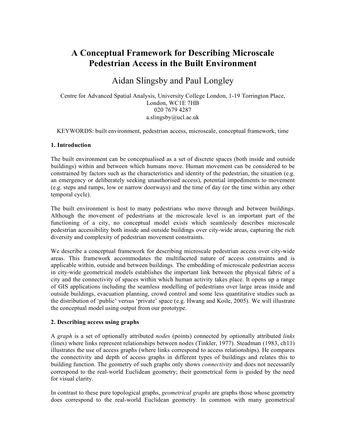## **A Conceptual Framework for Describing Microscale Pedestrian Access in the Built Environment**

### Aidan Slingsby and Paul Longley

Centre for Advanced Spatial Analysis, University College London, 1-19 Torrington Place, London, WC1E 7HB 020 7679 4287 a.slingsby@ucl.ac.uk

KEYWORDS: built environment, pedestrian access, microscale, conceptual framework, time

#### **1. Introduction**

The built environment can be conceptualised as a set of discrete spaces (both inside and outside buildings) within and between which humans move. Human movement can be considered to be constrained by factors such as the characteristics and identity of the pedestrian, the situation (e.g. an emergency or deliberately seeking unauthorised access), potential impediments to movement (e.g. steps and ramps, low or narrow doorways) and the time of day (or the time within any other temporal cycle).

The built environment is host to many pedestrians who move through and between buildings. Although the movement of pedestrians at the microscale level is an important part of the functioning of a city, no conceptual model exists which seamlessly describes microscale pedestrian accessibility both inside and outside buildings over city-wide areas, capturing the rich diversity and complexity of pedestrian movement constraints.

We describe a conceptual framework for describing microscale pedestrian access over city-wide areas. This framework accommodates the multifaceted nature of access constraints and is applicable within, outside and between buildings. The embedding of microscale pedestrian access in city-wide geometrical models establishes the important link between the physical fabric of a city and the connectivity of spaces within which human activity takes place. It opens up a range of GIS applications including the seamless modelling of pedestrians over large areas inside and outside buildings, evacuation planning, crowd control and some less quantitative studies such as the distribution of 'public' versus 'private' space (e.g. Hwang and Koile, 2005). We will illustrate the conceptual model using output from our prototype.

#### **2. Describing access using graphs**

A *graph* is a set of optionally attributed *nodes* (points) connected by optionally attributed *links* (lines) where links represent relationships between nodes (Tinkler, 1977). Steadman (1983, ch11) illustrates the use of access graphs (where links correspond to access relationships). He compares the connectivity and depth of access graphs in different types of buildings and relates this to building function. The geometry of such graphs only shows *connectivity* and does not necessarily correspond to the real-world Euclidean geometry; their geometrical form is guided by the need for visual clarity.

In contrast to these pure topological graphs, *geometrical graphs* are graphs those whose geometry does correspond to the real-world Euclidean geometry. In common with many geometrical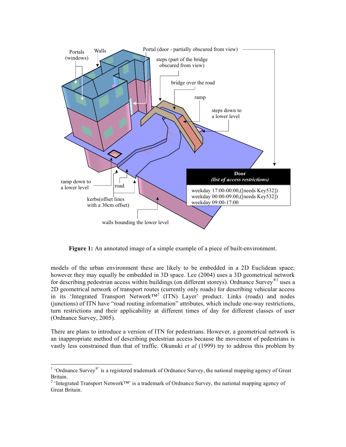

**Figure 1:** An annotated image of a simple example of a piece of built-environment.

models of the urban environment these are likely to be embedded in a 2D Euclidean space; however they may equally be embedded in 3D space. Lee (2004) uses a 3D geometrical network for describing pedestrian access within buildings (on different storeys). Ordnance Survey<sup>®1</sup> uses a 2D geometrical network of transport routes (currently only roads) for describing vehicular access in its 'Integrated Transport Network<sup>TM2</sup> (ITN) Layer' product. Links (roads) and nodes (junctions) of ITN have "road routing information" attributes, which include one-way restrictions, turn restrictions and their applicability at different times of day for different classes of user (Ordnance Survey, 2005).

There are plans to introduce a version of ITN for pedestrians. However, a geometrical network is an inappropriate method of describing pedestrian access because the movement of pedestrians is vastly less constrained than that of traffic. Okunuki *et al* (1999) try to address this problem by

<sup>&</sup>lt;sup>1</sup> 'Ordnance Survey<sup>®'</sup> is a registered trademark of Ordnance Survey, the national mapping agency of Great Britain.<br><sup>2</sup> 'Integrated Transport Network™' is a trademark of Ordnance Survey, the national mapping agency of

Great Britain.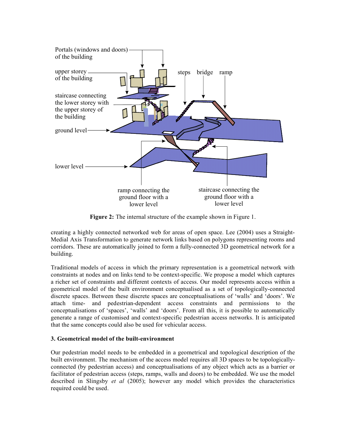

**Figure 2:** The internal structure of the example shown in Figure 1.

creating a highly connected networked web for areas of open space. Lee (2004) uses a Straight-Medial Axis Transformation to generate network links based on polygons representing rooms and corridors. These are automatically joined to form a fully-connected 3D geometrical network for a building.

Traditional models of access in which the primary representation is a geometrical network with constraints at nodes and on links tend to be context-specific. We propose a model which captures a richer set of constraints and different contexts of access. Our model represents access within a geometrical model of the built environment conceptualised as a set of topologically-connected discrete spaces. Between these discrete spaces are conceptualisations of 'walls' and 'doors'. We attach time- and pedestrian-dependent access constraints and permissions to the conceptualisations of 'spaces', 'walls' and 'doors'. From all this, it is possible to automatically generate a range of customised and context-specific pedestrian access networks. It is anticipated that the same concepts could also be used for vehicular access.

#### **3. Geometrical model of the built-environment**

Our pedestrian model needs to be embedded in a geometrical and topological description of the built environment. The mechanism of the access model requires all 3D spaces to be topologicallyconnected (by pedestrian access) and conceptualisations of any object which acts as a barrier or facilitator of pedestrian access (steps, ramps, walls and doors) to be embedded. We use the model described in Slingsby *et al* (2005); however any model which provides the characteristics required could be used.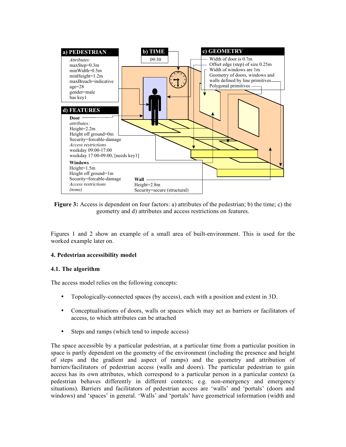

**Figure 3:** Access is dependent on four factors: a) attributes of the pedestrian; b) the time; c) the geometry and d) attributes and access restrictions on features.

Figures 1 and 2 show an example of a small area of built-environment. This is used for the worked example later on.

#### **4. Pedestrian accessibility model**

#### **4.1. The algorithm**

The access model relies on the following concepts:

- Topologically-connected spaces (by access), each with a position and extent in 3D.
- Conceptualisations of doors, walls or spaces which may act as barriers or facilitators of access, to which attributes can be attached
- Steps and ramps (which tend to impede access)

The space accessible by a particular pedestrian, at a particular time from a particular position in space is partly dependent on the geometry of the environment (including the presence and height of steps and the gradient and aspect of ramps) and the geometry and attribution of barriers/facilitators of pedestrian access (walls and doors). The particular pedestrian to gain access has its own attributes, which correspond to a particular person in a particular context (a pedestrian behaves differently in different contexts; e.g. non-emergency and emergency situations). Barriers and facilitators of pedestrian access are 'walls' and 'portals' (doors and windows) and 'spaces' in general. 'Walls' and 'portals' have geometrical information (width and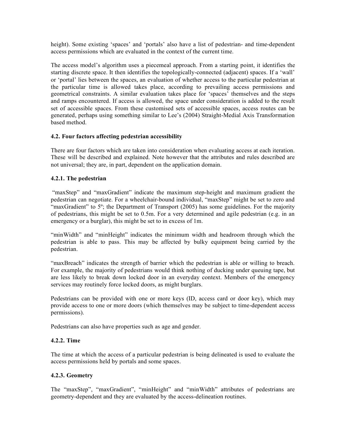height). Some existing 'spaces' and 'portals' also have a list of pedestrian- and time-dependent access permissions which are evaluated in the context of the current time.

The access model's algorithm uses a piecemeal approach. From a starting point, it identifies the starting discrete space. It then identifies the topologically-connected (adjacent) spaces. If a 'wall' or 'portal' lies between the spaces, an evaluation of whether access to the particular pedestrian at the particular time is allowed takes place, according to prevailing access permissions and geometrical constraints. A similar evaluation takes place for 'spaces' themselves and the steps and ramps encountered. If access is allowed, the space under consideration is added to the result set of accessible spaces. From these customised sets of accessible spaces, access routes can be generated, perhaps using something similar to Lee's (2004) Straight-Medial Axis Transformation based method.

#### **4.2. Four factors affecting pedestrian accessibility**

There are four factors which are taken into consideration when evaluating access at each iteration. These will be described and explained. Note however that the attributes and rules described are not universal; they are, in part, dependent on the application domain.

#### **4.2.1. The pedestrian**

"maxStep" and "maxGradient" indicate the maximum step-height and maximum gradient the pedestrian can negotiate. For a wheelchair-bound individual, "maxStep" might be set to zero and "maxGradient" to  $5^\circ$ ; the Department of Transport (2005) has some guidelines. For the majority of pedestrians, this might be set to 0.5m. For a very determined and agile pedestrian (e.g. in an emergency or a burglar), this might be set to in excess of 1m.

"minWidth" and "minHeight" indicates the minimum width and headroom through which the pedestrian is able to pass. This may be affected by bulky equipment being carried by the pedestrian.

"maxBreach" indicates the strength of barrier which the pedestrian is able or willing to breach. For example, the majority of pedestrians would think nothing of ducking under queuing tape, but are less likely to break down locked door in an everyday context. Members of the emergency services may routinely force locked doors, as might burglars.

Pedestrians can be provided with one or more keys (ID, access card or door key), which may provide access to one or more doors (which themselves may be subject to time-dependent access permissions).

Pedestrians can also have properties such as age and gender.

#### **4.2.2. Time**

The time at which the access of a particular pedestrian is being delineated is used to evaluate the access permissions held by portals and some spaces.

#### **4.2.3. Geometry**

The "maxStep", "maxGradient", "minHeight" and "minWidth" attributes of pedestrians are geometry-dependent and they are evaluated by the access-delineation routines.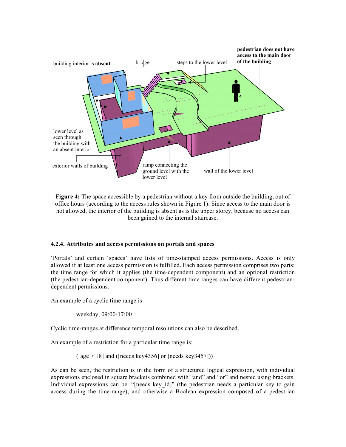

**Figure 4:** The space accessible by a pedestrian without a key from outside the building, out of office hours (according to the access rules shown in Figure 1). Since access to the main door is not allowed, the interior of the building is absent as is the upper storey, because no access can been gained to the internal staircase.

#### **4.2.4. Attributes and access permissions on portals and spaces**

'Portals' and certain 'spaces' have lists of time-stamped access permissions. Access is only allowed if at least one access permission is fulfilled. Each access permission comprises two parts: the time range for which it applies (the time-dependent component) and an optional restriction (the pedestrian-dependent component). Thus different time ranges can have different pedestriandependent permissions.

An example of a cyclic time range is:

weekday, 09:00-17:00

Cyclic time-ranges at difference temporal resolutions can also be described.

An example of a restriction for a particular time range is:

 $([age > 18]$  and  $([needs key 4356]$  or  $[needs key 3457])$ 

As can be seen, the restriction is in the form of a structured logical expression, with individual expressions enclosed in square brackets combined with "and" and "or" and nested using brackets. Individual expressions can be: "[needs key\_id]" (the pedestrian needs a particular key to gain access during the time-range); and otherwise a Boolean expression composed of a pedestrian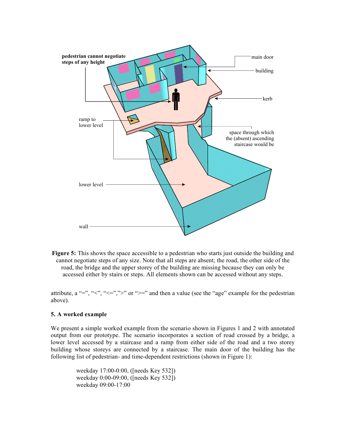

**Figure 5:** This shows the space accessible to a pedestrian who starts just outside the building and cannot negotiate steps of any size. Note that all steps are absent; the road, the other side of the road, the bridge and the upper storey of the building are missing because they can only be accessed either by stairs or steps. All elements shown can be accessed without any steps.

attribute, a "=", "<", "<=",">" or ">=" and then a value (see the "age" example for the pedestrian above).

#### **5. A worked example**

We present a simple worked example from the scenario shown in Figures 1 and 2 with annotated output from our prototype. The scenario incorporates a section of road crossed by a bridge, a lower level accessed by a staircase and a ramp from either side of the road and a two storey building whose storeys are connected by a staircase. The main door of the building has the following list of pedestrian- and time-dependent restrictions (shown in Figure 1):

> weekday 17:00-0:00, ([needs Key 532]) weekday 0:00-09:00, ([needs Key 532]) weekday 09:00-17:00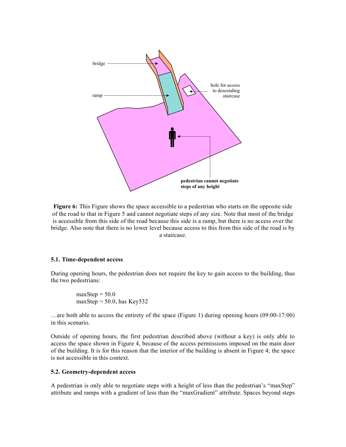

**Figure 6:** This Figure shows the space accessible to a pedestrian who starts on the opposite side of the road to that in Figure 5 and cannot negotiate steps of any size. Note that most of the bridge is accessible from this side of the road because this side is a ramp, but there is no access over the bridge. Also note that there is no lower level because access to this from this side of the road is by a staircase.

#### **5.1. Time-dependent access**

During opening hours, the pedestrian does not require the key to gain access to the building, thus the two pedestrians:

$$
maxStep = 50.0
$$
  

$$
maxStep = 50.0, has Key 532
$$

…are both able to access the entirety of the space (Figure 1) during opening hours (09:00-17:00) in this scenario.

Outside of opening hours, the first pedestrian described above (without a key) is only able to access the space shown in Figure 4, because of the access permissions imposed on the main door of the building. It is for this reason that the interior of the building is absent in Figure 4; the space is not accessible in this context.

#### **5.2. Geometry-dependent access**

A pedestrian is only able to negotiate steps with a height of less than the pedestrian's "maxStep" attribute and ramps with a gradient of less than the "maxGradient" attribute. Spaces beyond steps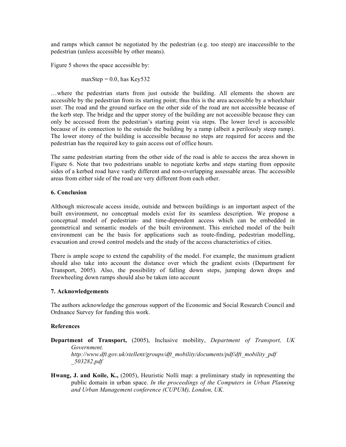and ramps which cannot be negotiated by the pedestrian (e.g. too steep) are inaccessible to the pedestrian (unless accessible by other means).

Figure 5 shows the space accessible by:

 $maxStep = 0.0$ , has Key532

…where the pedestrian starts from just outside the building. All elements the shown are accessible by the pedestrian from its starting point; thus this is the area accessible by a wheelchair user. The road and the ground surface on the other side of the road are not accessible because of the kerb step. The bridge and the upper storey of the building are not accessible because they can only be accessed from the pedestrian's starting point via steps. The lower level is accessible because of its connection to the outside the building by a ramp (albeit a perilously steep ramp). The lower storey of the building is accessible because no steps are required for access and the pedestrian has the required key to gain access out of office hours.

The same pedestrian starting from the other side of the road is able to access the area shown in Figure 6. Note that two pedestrians unable to negotiate kerbs and steps starting from opposite sides of a kerbed road have vastly different and non-overlapping assessable areas. The accessible areas from either side of the road are very different from each other.

#### **6. Conclusion**

Although microscale access inside, outside and between buildings is an important aspect of the built environment, no conceptual models exist for its seamless description. We propose a conceptual model of pedestrian- and time-dependent access which can be embedded in geometrical and semantic models of the built environment. This enriched model of the built environment can be the basis for applications such as route-finding, pedestrian modelling, evacuation and crowd control models and the study of the access characteristics of cities.

There is ample scope to extend the capability of the model. For example, the maximum gradient should also take into account the distance over which the gradient exists (Department for Transport, 2005). Also, the possibility of falling down steps, jumping down drops and freewheeling down ramps should also be taken into account

#### **7. Acknowledgements**

The authors acknowledge the generous support of the Economic and Social Research Council and Ordnance Survey for funding this work.

#### **References**

- **Department of Transport,** (2005), Inclusive mobility, *Department of Transport, UK Government. http://www.dft.gov.uk/stellent/groups/dft\_mobility/documents/pdf/dft\_mobility\_pdf \_503282.pdf*
- **Hwang, J. and Koile, K.,** (2005), Heuristic Nolli map: a preliminary study in representing the public domain in urban space. *In the proceedings of the Computers in Urban Planning and Urban Management conference (CUPUM), London, UK.*